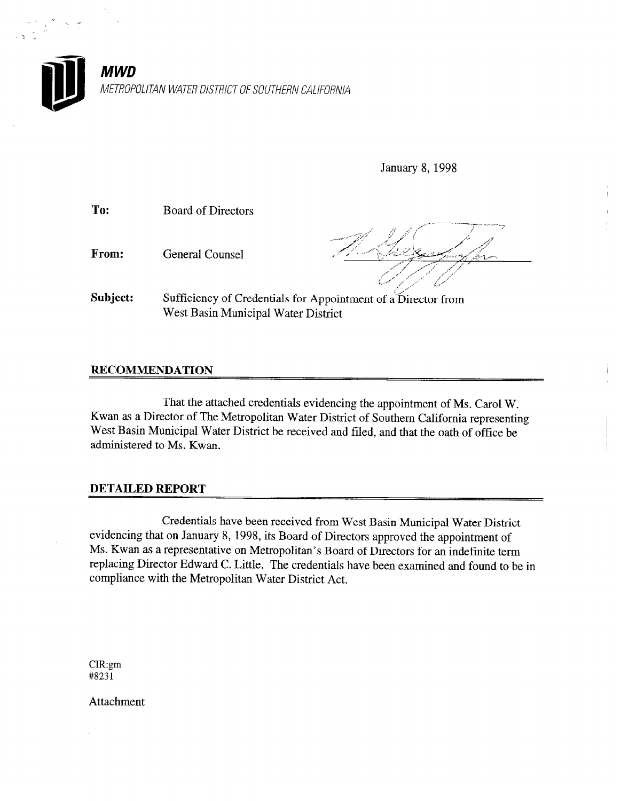

January 8,1998

To: Board of Directors

From: General Counsel

Subject: Sufficiency of Credentials for Appointment of a Director from West Basin Municipal Water District

#### RECOMMENDATION

That the attached credentials evidencing the appointment of Ms. Carol W. Kwan as a Director of The Metropolitan Water District of Southern California representing West Basin Municipal Water District be received and filed, and that the oath of office be administered to Ms. Kwan.

#### DETAILED REPORT

Credentials have been received from West Basin Municipal Water District evidencing that on January 8, 1998, its Board of Directors approved the appointment of Ms. Kwan as a representative on Metropolitan's Board of Directors for an indefinite term replacing Director Edward C. Little. The credentials have been examined and found to be in compliance with the Metropolitan Water District Act.

CIR:gm #823 1

Attachment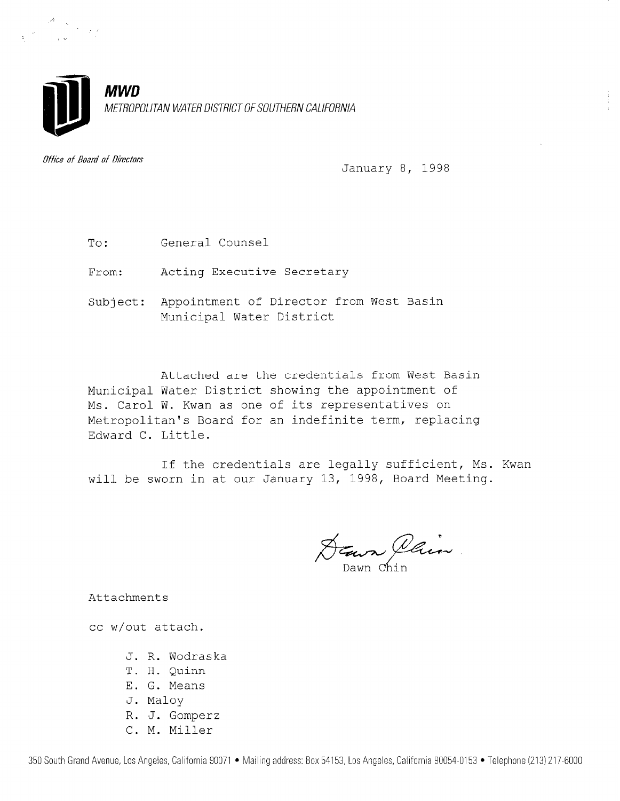

Uffice of Board of Directors

January 8, 1998

To: General Counse

From: Acting Executive Secreta

Subject: Appointment of Director from West Basi Municipal Water District

Municipal Water District showing the appointment of Ms. Carol W. Kwan as one of its representatives on Attached are the credentials from West Basin Metropolitan's Board for an indefinite term, replacing Edward C. Little.

If the credentials are legally sufficient, Ms. Kwan will be sworn in at our January 13, 1998, Board Meeting.

DEave Plain

Attachments

cc w/out attach.

- J. R. Wodraska
- T. H. Quinn
- E. G. Means
- J. Maloy
- R. J. Gomperz
- C. M. Miller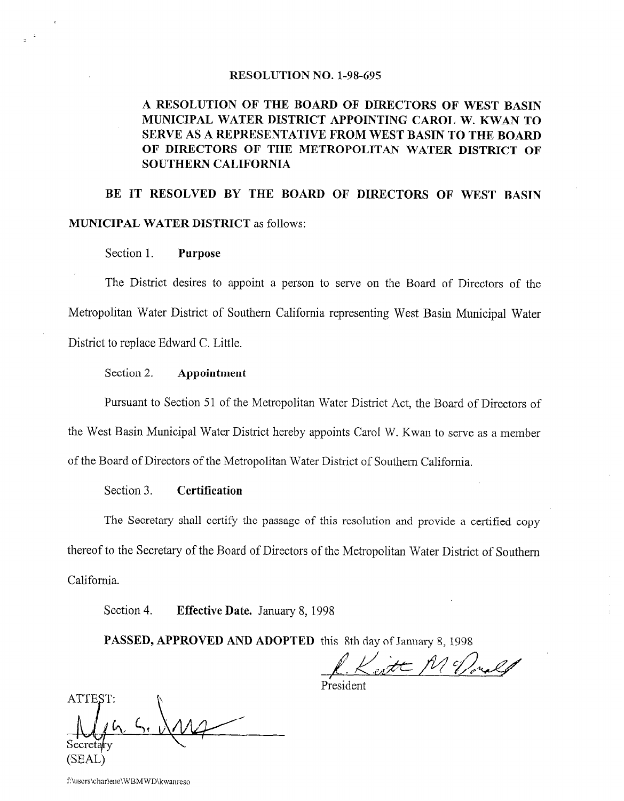#### RESOLUTION NO. 1-98-695

#### A RESOLUTION OF THE BOARD OF DIRECTORS OF WEST BASIN MUNICIPAL WATER DISTRICT APPOINTING CAROL W. KWAN TO SERVE AS A REPRESENTATIVE FROM WEST BASIN TO THE BOARD OF DIRECTORS OF THE METROPOLITAN WATER DISTRICT OF SOUTHERN CALIFORNIA

### BE IT RESOLVED BY THE BOARD OF DIRECTORS OF WEST BASIN MUNICIPAL WATER DISTRICT as follows:

Section 1. Purpose

The District desires to appoint a person to serve on the Board of Directors of the Metropolitan Water District of Southern California representing West Basin Municipal Water District to replace Edward C. Little.

#### Section 2. Appointment

Pursuant to Section 51 of the Metropolitan Water District Act, the Board of Directors of the West Basin Municipal Water District hereby appoints Carol W. Kwan to serve as a member of the Board of Directors of the Metropolitan Water District of Southem California.

#### Section 3. **Certification**

The Secretary shall certify the passage of this resolution and provide a certified copy thereof to the Secretary of the Board of Directors of the Metropolitan Water District of Southern California.

I  $\frac{1}{2}$ 

ATTEST Secreti (SEAL)

f:\users\charlene\WBMWD\kwanreso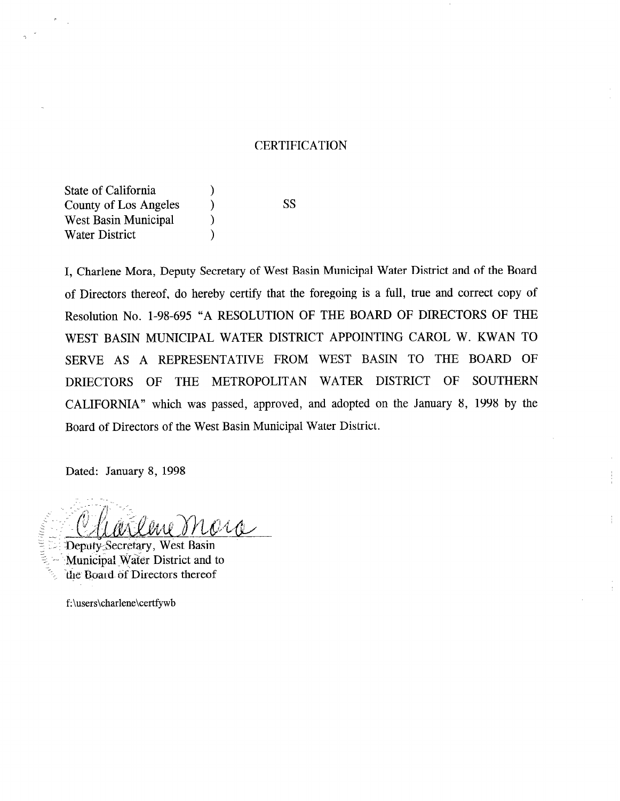#### **CERTIFICATION**

State of California (1) County of Los Angeles  $\qquad$ ) West Basin Municipal (b) Water District (1)

ss

I, Charlene Mora, Deputy Secretary of West Basin Municipal Water District and of the Board of Directors thereof, do hereby certify that the foregoing is a full, true and correct copy of Resolution No. l-98-695 "A RESOLUTION OF THE BOARD OF DIRECTORS OF THE WEST BASIN MUNICIPAL WATER DISTRICT APPOINTING CAROL W. KWAN TO SERVE AS A REPRESENTATIVE FROM WEST BASIN TO THE BOARD OF DRIECTORS OF THE METROPOLITAN WATER DISTRICT OF SOUTHERN CALIFORNIA" which was passed, approved, and adopted on the January 8, 1998 by the Board of Directors of the West Basin Municipal Water District.

Dated: January 8, 1998

ene Mora

Deputy Secretary, West Basin Municipal Water District and to the Board of Directors thereof

f:\users\charlene\certfywb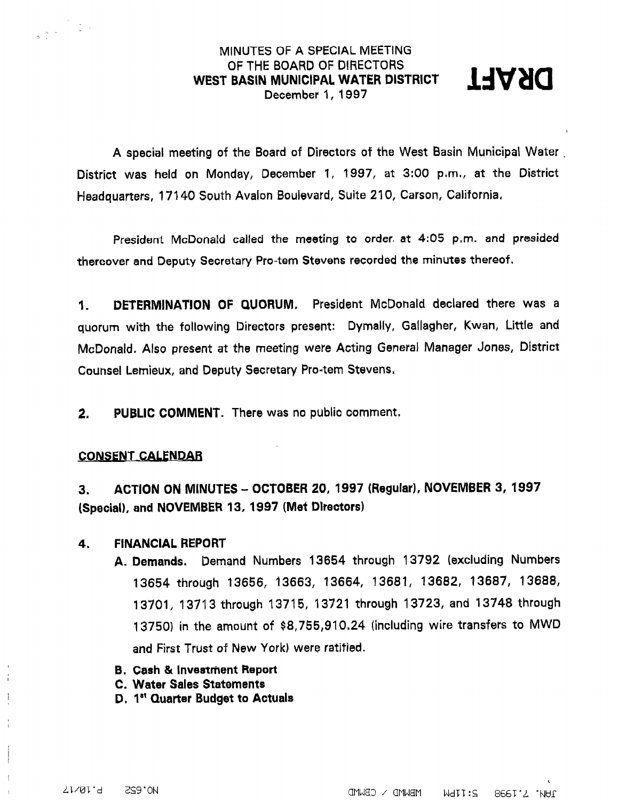#### MINUTES OF A SPECIAL MEETING OF THE BOARD OF DIRECTORS WEST BASIN MUNICIPAL WATER DISTRICT E BOARD OF DIRECTORS<br>| MUNICIPAL WATER DISTRICT | 1997<br>December 1, 1997



A special meeting of the Board of Directors of the West Basin Municipal Water . District was held on Monday, December 1, 1997, at 3:00 p,m,, at the District Headquarters, 17140 South Avalon Boulevard, Suite 210, Carson, California,

President McDonald called the meeting to order. at 4:05 p,m. and presided thereover and Deputy Secretary Pro-tern Stevens recorded the minutes thereof.

1. DETERMINATION OF QUORUM. President McDonald declared there was a quorum with the following Directors present: Dymally, Gallagher, Kwan, Little and McDonald. Also present at the meeting were Acting General Manager Jones, District Counsel Lemieux, and Deputy Secretary Pro-tern Stevens.

2. PUBLIC COMMENT. There was no public comment.

#### CONSENT CALENDAR

. .

3. ACTION ON MINUTES - OCTOBER 20, 1997 (Regular). NOVEMBER 3, 1997 (Special), and NOVEMBER 13, 1997 (Met Directors)

#### 4, FINANCIAL REPORT

- A. Demands, Demand Numbers 13654 through 13792 (excluding Numbers 13654 through 13656, 13663, 13664, 13681, 13682, 13687, 13688, 13701, 13713 through 13715, 13721 through 13723, and 13748 through 13750) in the amount of \$8,755,910,24 (including wire transfers to MWD and First Trust of New York) were ratified.
- **B. Cash & Investment Report**
- C. Water Sales Statements
- D. 1st Quarter Budget to Actuals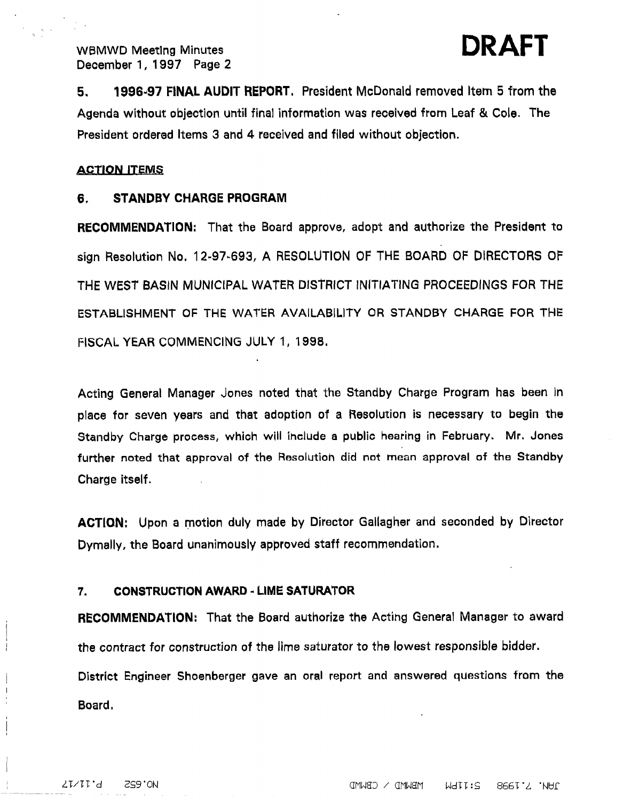DRAFT

5. 1996-97 FINAL AUDIT REPORT. President McDonald removed Item 5 from the Agenda without objection until final information was received from Leaf & Cole. The President ordered Items 3 and 4 received and filed without objection.

#### **ACTION ITEMS**

#### 6. STANDBY CHARGE PROGRAM

RECOMMENDATION: That the Board approve, adopt and authorize the President to sign Resolution No. 12-97-693, A RESOLUTION OF THE BOARD OF DIRECTORS OF THE WEST BASIN MUNICIPAL WATER DISTRICT INlTlATlNG PROCEEDINGS FOR THE ESTABLISHMENT OF THE WATER AVAILABILITY OR STANDBY CHARGE FOR THE FISCAL YEAR COMMENCING JULY 1, 1998.

Acting General Manager Jones noted that the Standby Charge Program has been in place for seven years and that adoption of a Resolution is necessary to begin the Standby Charge process, which will ihclude a public hearing in February. Mr. Jones further noted that approval of the Resolution did not mean approval of the Standby Charge itself.

ACTION: Upon a motion duly made by Director Gallagher and seconded by Director Dymally, the Board unanimously approved staff recommendation.

#### 7. CONSTRUCTION AWARD - LIME SATURATOR

RECOMMENDATION: That the Board authorize the Actihg General Manager to award the contract for construction of the lime saturator to the lowest responsible bidder. District Engineer Shoenberger gave an oral report and answered questions from the

Board,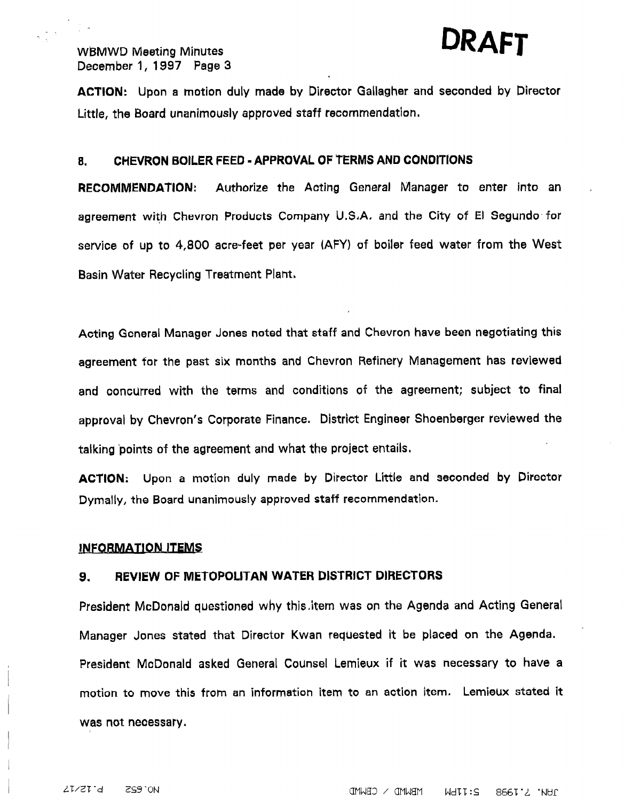## WBMWD Meeting Minutes **DRAFT**

### December 1, 1997 Page 3

 $\frac{1}{2}$ 

ACTION: Upon a motion duly made by Director Gallagher and seconded by birector Little, the Board unanimously approved staff recommendation,

#### a. CHEVRON BOILER FEED -APPROVAL OF TERMS AND CONDITIONS

RECOMMENDATION: Authorize the Acting General Manager to enter into an agreement with Chevron Products Company U.S.A. and the City of El Segundo for service of up to 4,800 acre-feet per year (AFY) of boiler feed water from the West Basin Water Recycling Treatment Plaht,

Acting General Manager Jones noted that staff and Chevron have been negotiating this agreement for the past six months and Chevron Refinery Management has reviewed and concurred with the terms and conditions of the agreement; subject to final approval by Chevron's Corporate Finance, District Engineer Shoenberger reviewed the talking 'points of the agreement and what the project entails,

ACTION: Upon a motion duly made by Director Little and seconded by Director Dymally, the Board unanimously approved staff recommendation.

#### INFORMATION ITEMS

#### 9. REVIEW OF METOPOLITAN WATER DlSTRlCT DIRECTORS

President McDonald questioned why this.item was on the Agenda and Acting General Manager Jones stated that Director Kwan requested it be placed on the Agenda. President McDonald asked General Counsel Lemieux if it was necessary to have a motion to move this from an information item to an action item. Lemieux stated it was not necessary.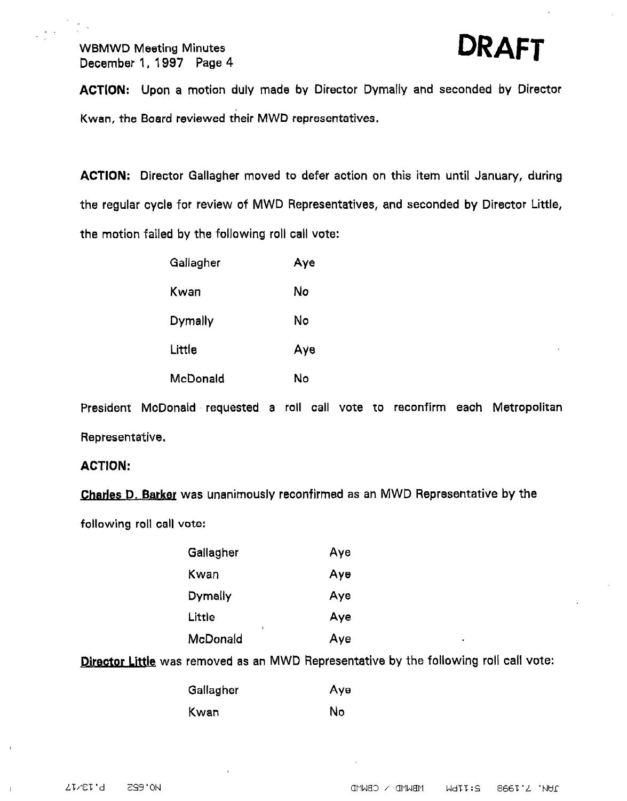$\frac{1}{2}$  :



ACTiON: Upon a motion duly made by Director Dymally and seconded by Director Kwan, the Board reviewed their MWD representatives.

ACTION: Director Gallagher moved to defer action on this item until January, during the regular cycle for review of MWD Representatives, and seconded by Director Little, the motion failed by the following roll call vote:

| Gallagher         | Aye |
|-------------------|-----|
| Kwan              | Nο  |
| $D$ <i>ymally</i> | No  |
| Little            | Аγе |
| McDonald          | Ν٥  |

President McDonald requested a roll call vote to reconfirm each Metropolitan Representative.

#### ACTION:

Charles D. Barker was unanimously reconfirmed as an MWD Representative by the

following roll call vote:

| Gallagher | Aye                   |
|-----------|-----------------------|
| Kwan      | Aye                   |
| Dymally   | Aye                   |
| Little    | Aye                   |
| McDonald  | Aye<br>$\blacksquare$ |

Director Little was removed as an MWD Representative by the following roll call vote:

| Gallagher | Aye |
|-----------|-----|
| Kwan      | No  |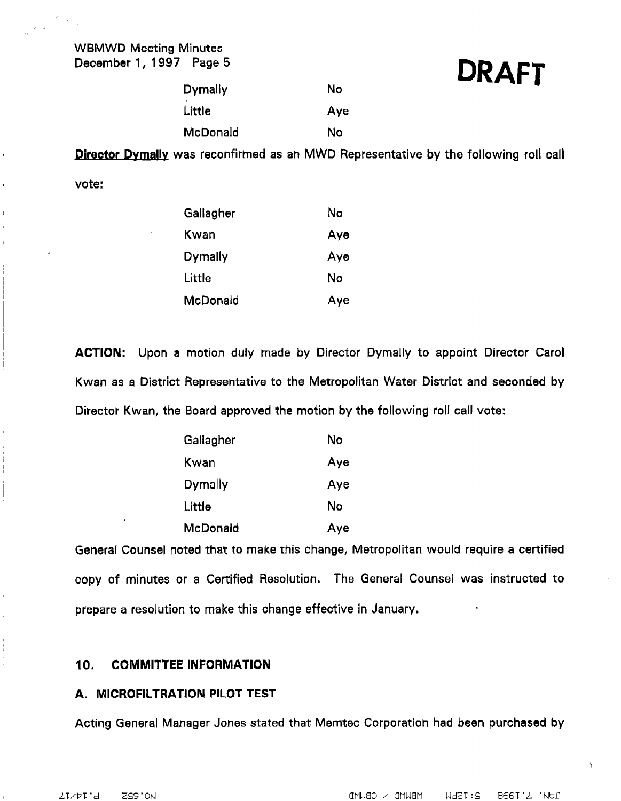## DRAFT

| Dymally  | No  |
|----------|-----|
| Little   | Aye |
| McDonald | No  |

Director Dymally was reconfirmed as an MWD Representative by the following roll call

vote:

| Gallagher      | No  |
|----------------|-----|
| Kwan           | Ауө |
| <b>Dymally</b> | Ауө |
| Little         | No  |
| McDonald       | Aye |

ACTION: Upon a motion duly made by Director Dymally to appoint Director Carol Kwan as a District Representative to the Metropolitan Water District and seconded by Director Kwan, the Board approved the motion by the following roll call vote:

| Gallagher | No  |
|-----------|-----|
| Kwan      | Aye |
| Dymally   | Aye |
| Little    | Nο  |
| McDonald  | Aye |

General Counsel noted that to make this change, Metropolitan would require a certified copy of minutes or a Certified Resolution. The Geheral Counsel was instructed to prepare a resolution to make this change effective in January.

#### 10. COMMITTEE INFORMATION

#### A. MICROFILTRATION PILOT TEST

Acting General Manager Jones stated that Memtec Corporatioh had been purchased by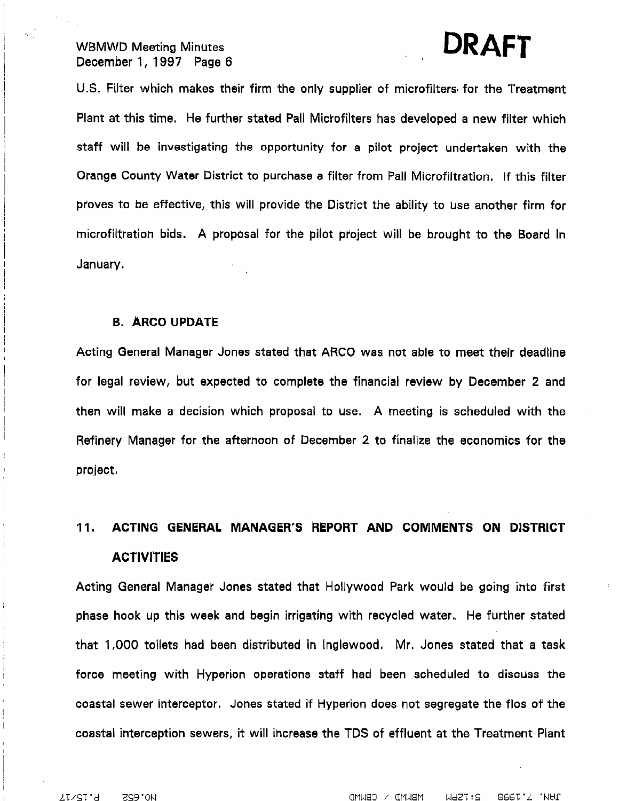# , DRAFT

U.S. Filter which makes their firm the only supplier of microfilters- for the Treatment Plant at this time. He further stated Pall Mictofilters has developed a new filter which staff will be investigating the opportunity for a pilot project undertaken with the Orange County Water District to purchase a filter from Pall Microfiltration. If this filter proves to be effective, this will provide the District the ability to use another firm for microfiltration bids. A proposal for the pilot project will be brought to the Board in January,

#### B. ARC0 UPDATE

Acting General Manager Jones stated that ARC0 was not able to meet their deadline for legal review, but expected to complete the financial review by December 2 and then will make a decision which proposal to use. A meeting is scheduled with the Refinery Manager for the afternoon of December 2 to finalize the economics for the project,

### 11. ACTING GENERAL MANAGER'S REPORT AND COMMENTS ON DISTRICT **ACTIVITIES**

Acting General Manager Jones stated that Hollywood Park would be goihg into first phase hook up this week and begin irrigating with recycled water,. He further stated that 1,000 toilets had been distributed in Inglewood, Mr. Jones stated that a task force meeting with Hyperion operations staff had been scheduled to discuss the coastal sewer interceptor. Jones stated if Hyperion does not segregate the flos of the coastal interception sewers, it will ihcrease the TDS of effluent at the Treatment Plant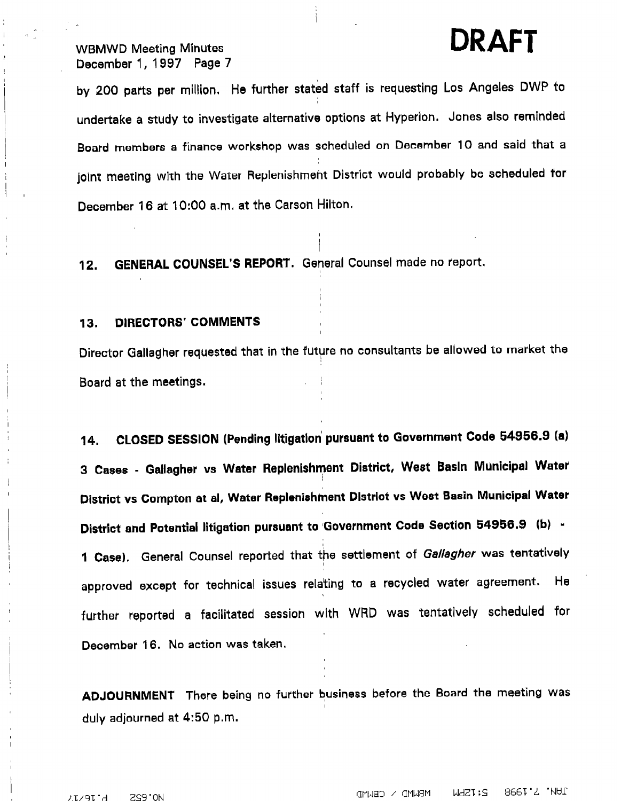## WBMWD Meeting Minutes **DRAFT**

December 1, 1997 Page 7

,.

I

by 200 parts per million. He further stated staff is requesting Los Angeles DWP to undertake a study to investigate alternative options at Hyperion. Jones also reminded Board members a finance workshop was scheduled on December 10 and said that a joint meeting with the Water Replenishment District would probably be scheduled for December 16 at IO:00 a.m, at the Carson Hilton.

I

12. GENERAL COUNSEL'S REPORT. General Counsel made no report.

#### 13. DIRECTORS' COMMENTS

 $\mathbf I$ 

Director Gallagher requested that in the future no consultants be allowed to market the Board at the meetings.

14. CLOSED SESSION (Pending Iitigatlon' pursuant to Government Code 54956.9 (a) 3 Cases - Gallagher vs Water Replenishment District, West Basin Municipal Water District vs Compton at al, Water Replenishment Dlstrlct vs West Basin Municipal Water District and Potential litigation pursuant to Government Code Section 54956.9 (b) -1 Case). General Counsel reported that the settlement of Gallagher was tentatively approved except for technical issues rela'ting to a recycled water agreement. He further reported a facilitated session with WRD was tentatively scheduled for December 16. No action was taken.

ADJOURNMENT There being no further business before the Board the meeting was duly adjourned at 4:50 p,m.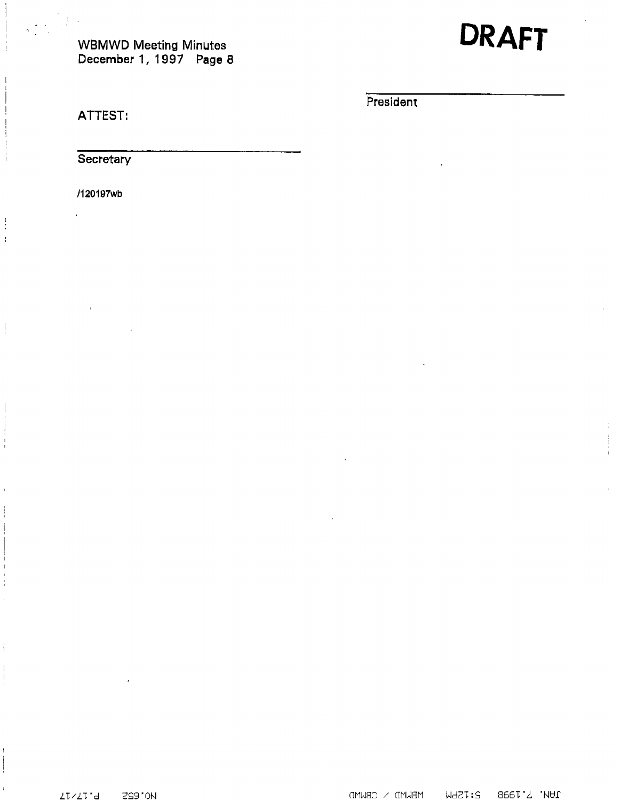

**President** 

ATTEST:

Secretary

/1201Wwb

 $\frac{1}{4}$  $\frac{1}{4}$ 

 $\frac{1}{2}$ 

 $\overline{\phantom{a}}$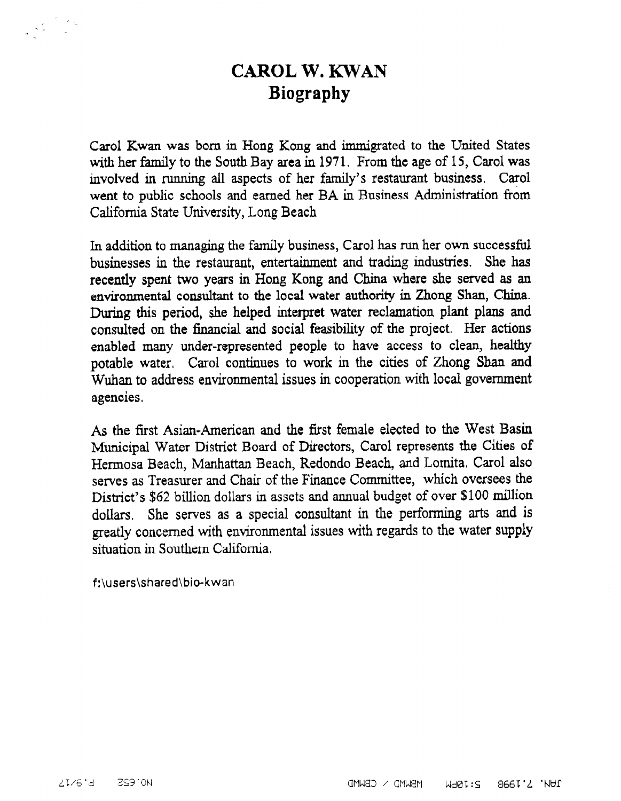### CAROL W. KWAN Biography

Carol Kwan was born in Hong Kong and immigrated to the United States with her family to the South Bay area in 1971. From the age of 15, Carol was involved in running all aspects of her family's restaurant business. Carol went to public schools and earned her BA in Business Administration from California State University, Long Beach

In addition to managing the family business, Carol has run her own successful businesses in the restaurant, entertainment and trading industries. She has recently spent two years in Hong Kong and China where she served as an environmental consultant to the local water authority in Zhong Shan, China. During this period, she helped interpret water reclamation plant plans and consulted on the financial and social feasibility of the project, Her actions enabled many under-represented people to have access to clean, healthy potable water. Carol continues to work in the cities of Zhong Shan and Wuban to address environmental issues in cooperation with local government agencies,

As the first Asian-American and the first female elected to the West Basin Municipal Water District Board of Directors, Carol represents the Cities of Hermosa Beach, Manhattan Beach, Redondo Beach, and Lomita, Carol also serves as Treasurer and Chair of the Finance Committee, which oversees the District's \$62 billion dollars in assets and annual budget of over \$100 million dollars. She serves as a special consultant in the performing arts and is greatly concerned with environmental issues with regards to the water supply situation in Southern California,

f:\users\shared\bio-kwan